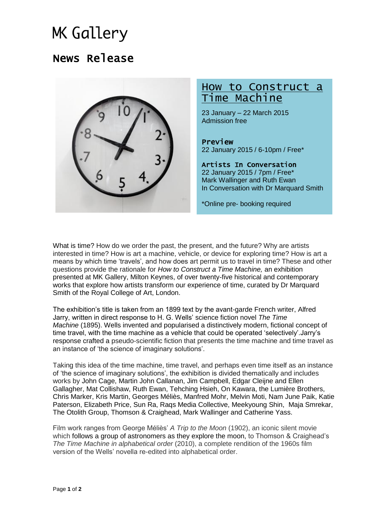# **MK Gallery**

## News Release



## How to Construct a Time Machine

23 January – 22 March 2015 Admission free

Preview 22 January 2015 / 6-10pm / Free\*

Artists In Conversation 22 January 2015 / 7pm / Free\* Mark Wallinger and Ruth Ewan In Conversation with Dr Marquard Smith

\*Online pre- booking required

What is time? How do we order the past, the present, and the future? Why are artists interested in time? How is art a machine, vehicle, or device for exploring time? How is art a means by which time 'travels', and how does art permit us to travel in time? These and other questions provide the rationale for *How to Construct a Time Machine,* an exhibition presented at MK Gallery, Milton Keynes, of over twenty-five historical and contemporary works that explore how artists transform our experience of time, curated by Dr Marquard Smith of the Royal College of Art, London.

The exhibition's title is taken from an 1899 text by the avant-garde French writer, Alfred Jarry, written in direct response to H. G. Wells' science fiction novel *The Time Machine* (1895). Wells invented and popularised a distinctively modern, fictional concept of time travel, with the time machine as a vehicle that could be operated 'selectively'.Jarry's response crafted a pseudo-scientific fiction that presents the time machine and time travel as an instance of 'the science of imaginary solutions'.

Taking this idea of the time machine, time travel, and perhaps even time itself as an instance of 'the science of imaginary solutions', the exhibition is divided thematically and includes works by John Cage, Martin John Callanan, Jim Campbell, Edgar Cleijne and Ellen Gallagher, Mat Collishaw, Ruth Ewan, Tehching Hsieh, On Kawara, the Lumière Brothers, Chris Marker, Kris Martin, Georges Méliès, Manfred Mohr, Melvin Moti, Nam June Paik, Katie Paterson, Elizabeth Price, Sun Ra, Raqs Media Collective, Meekyoung Shin, Maja Smrekar, The Otolith Group, Thomson & Craighead, Mark Wallinger and Catherine Yass.

Film work ranges from George Méliès' *A Trip to the Moon* (1902), an iconic silent movie which follows a group of astronomers as they explore the moon, to Thomson & Craighead's *The Time Machine in alphabetical order* (2010), a complete rendition of the 1960s film version of the Wells' novella re-edited into alphabetical order.